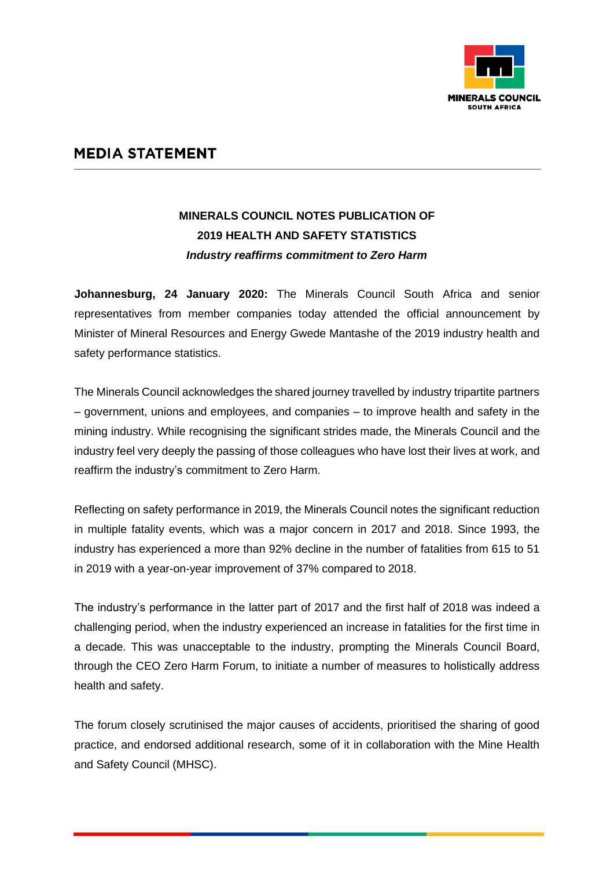

## **MEDIA STATEMENT**

## **MINERALS COUNCIL NOTES PUBLICATION OF 2019 HEALTH AND SAFETY STATISTICS** *Industry reaffirms commitment to Zero Harm*

**Johannesburg, 24 January 2020:** The Minerals Council South Africa and senior representatives from member companies today attended the official announcement by Minister of Mineral Resources and Energy Gwede Mantashe of the 2019 industry health and safety performance statistics.

The Minerals Council acknowledges the shared journey travelled by industry tripartite partners – government, unions and employees, and companies – to improve health and safety in the mining industry. While recognising the significant strides made, the Minerals Council and the industry feel very deeply the passing of those colleagues who have lost their lives at work, and reaffirm the industry's commitment to Zero Harm.

Reflecting on safety performance in 2019, the Minerals Council notes the significant reduction in multiple fatality events, which was a major concern in 2017 and 2018. Since 1993, the industry has experienced a more than 92% decline in the number of fatalities from 615 to 51 in 2019 with a year-on-year improvement of 37% compared to 2018.

The industry's performance in the latter part of 2017 and the first half of 2018 was indeed a challenging period, when the industry experienced an increase in fatalities for the first time in a decade. This was unacceptable to the industry, prompting the Minerals Council Board, through the CEO Zero Harm Forum, to initiate a number of measures to holistically address health and safety.

The forum closely scrutinised the major causes of accidents, prioritised the sharing of good practice, and endorsed additional research, some of it in collaboration with the Mine Health and Safety Council (MHSC).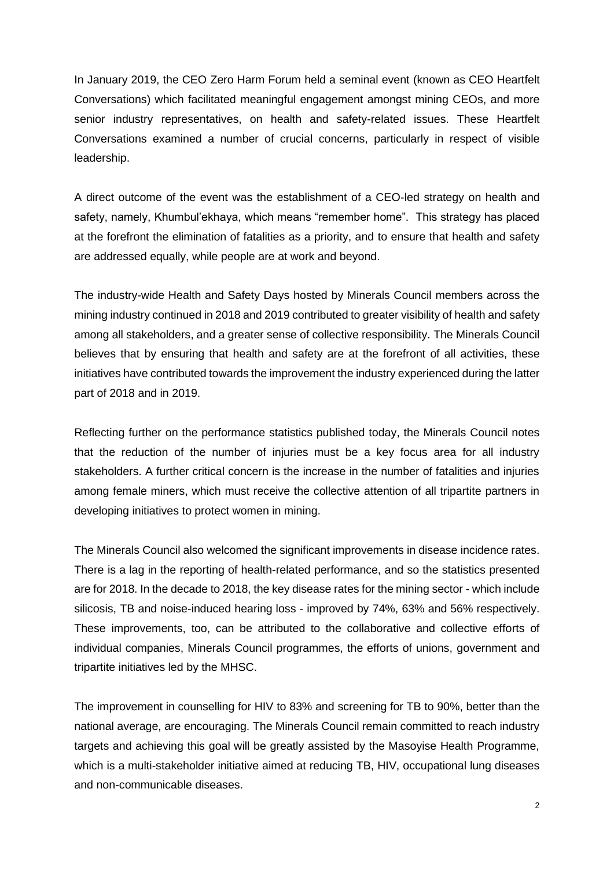In January 2019, the CEO Zero Harm Forum held a seminal event (known as CEO Heartfelt Conversations) which facilitated meaningful engagement amongst mining CEOs, and more senior industry representatives, on health and safety-related issues. These Heartfelt Conversations examined a number of crucial concerns, particularly in respect of visible leadership.

A direct outcome of the event was the establishment of a CEO-led strategy on health and safety, namely, Khumbul'ekhaya, which means "remember home". This strategy has placed at the forefront the elimination of fatalities as a priority, and to ensure that health and safety are addressed equally, while people are at work and beyond.

The industry-wide Health and Safety Days hosted by Minerals Council members across the mining industry continued in 2018 and 2019 contributed to greater visibility of health and safety among all stakeholders, and a greater sense of collective responsibility. The Minerals Council believes that by ensuring that health and safety are at the forefront of all activities, these initiatives have contributed towards the improvement the industry experienced during the latter part of 2018 and in 2019.

Reflecting further on the performance statistics published today, the Minerals Council notes that the reduction of the number of injuries must be a key focus area for all industry stakeholders. A further critical concern is the increase in the number of fatalities and injuries among female miners, which must receive the collective attention of all tripartite partners in developing initiatives to protect women in mining.

The Minerals Council also welcomed the significant improvements in disease incidence rates. There is a lag in the reporting of health-related performance, and so the statistics presented are for 2018. In the decade to 2018, the key disease rates for the mining sector - which include silicosis, TB and noise-induced hearing loss - improved by 74%, 63% and 56% respectively. These improvements, too, can be attributed to the collaborative and collective efforts of individual companies, Minerals Council programmes, the efforts of unions, government and tripartite initiatives led by the MHSC.

The improvement in counselling for HIV to 83% and screening for TB to 90%, better than the national average, are encouraging. The Minerals Council remain committed to reach industry targets and achieving this goal will be greatly assisted by the Masoyise Health Programme, which is a multi-stakeholder initiative aimed at reducing TB, HIV, occupational lung diseases and non-communicable diseases.